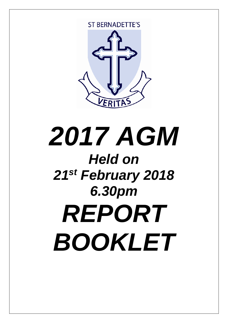

# *2017 AGM Held on 21st February 2018 6.30pm REPORT BOOKLET*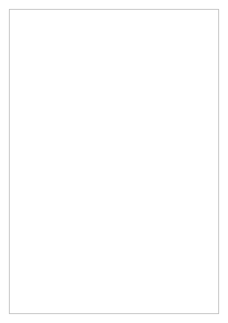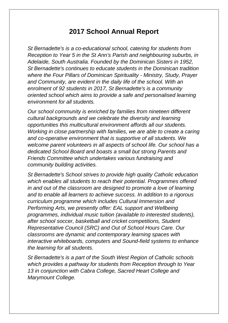# **2017 School Annual Report**

*St Bernadette's is a co-educational school, catering for students from Reception to Year 5 in the St Ann's Parish and neighbouring suburbs, in Adelaide, South Australia. Founded by the Dominican Sisters in 1952, St Bernadette's continues to educate students in the Dominican tradition where the Four Pillars of Dominican Spirituality - Ministry, Study, Prayer and Community, are evident in the daily life of the school. With an enrolment of 92 students in 2017, St Bernadette's is a community oriented school which aims to provide a safe and personalised learning environment for all students.* 

*Our school community is enriched by families from nineteen different cultural backgrounds and we celebrate the diversity and learning opportunities this multicultural environment affords all our students. Working in close partnership with families, we are able to create a caring and co-operative environment that is supportive of all students. We welcome parent volunteers in all aspects of school life. Our school has a dedicated School Board and boasts a small but strong Parents and Friends Committee which undertakes various fundraising and community building activities.* 

*St Bernadette's School strives to provide high quality Catholic education which enables all students to reach their potential. Programmes offered in and out of the classroom are designed to promote a love of learning and to enable all learners to achieve success. In addition to a rigorous curriculum programme which includes Cultural Immersion and Performing Arts, we presently offer: EAL support and Wellbeing programmes, individual music tuition (available to interested students), after school soccer, basketball and cricket competitions, Student Representative Council (SRC) and Out of School Hours Care. Our classrooms are dynamic and contemporary learning spaces with interactive whiteboards, computers and Sound-field systems to enhance the learning for all students.* 

*St Bernadette's is a part of the South West Region of Catholic schools which provides a pathway for students from Reception through to Year 13 in conjunction with Cabra College, Sacred Heart College and Marymount College.*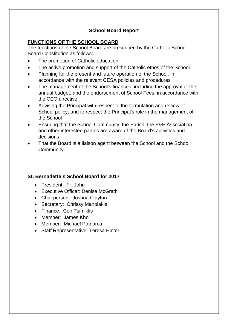# **School Board Report**

# **FUNCTIONS OF THE SCHOOL BOARD**

The functions of the School Board are prescribed by the Catholic School Board Constitution as follows:

- The promotion of Catholic education
- The active promotion and support of the Catholic ethos of the School
- Planning for the present and future operation of the School, in accordance with the relevant CESA policies and procedures
- The management of the School's finances, including the approval of the annual budget, and the endorsement of School Fees, in accordance with the CEO directive
- Advising the Principal with respect to the formulation and review of School policy, and to respect the Principal's role in the management of the School
- Ensuring that the School Community, the Parish, the P&F Association and other interested parties are aware of the Board's activities and decisions
- That the Board is a liaison agent between the School and the School **Community**

# **St. Bernadette's School Board for 2017**

- President: Fr. John
- Executive Officer: Denise McGrath
- Chairperson: Joshua Clayton
- Secretary: Chrissy Manolakis
- Finance: Con Tsimiklis
- Member: James Kho
- Member: Michael Patriarca
- Staff Representative: Teresa Hinter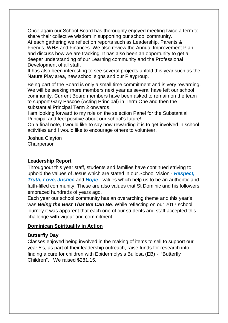Once again our School Board has thoroughly enjoyed meeting twice a term to share their collective wisdom in supporting our school community.

At each gathering we reflect on reports such as Leadership, Parents & Friends, WHS and Finances. We also review the Annual Improvement Plan and discuss how we are tracking. It has also been an opportunity to get a deeper understanding of our Learning community and the Professional Development of all staff.

It has also been interesting to see several projects unfold this year such as the Nature Play area, new school signs and our Playgroup.

Being part of the Board is only a small time commitment and is very rewarding. We will be seeking more members next year as several have left our school community. Current Board members have been asked to remain on the team to support Gary Pascoe (Acting Principal) in Term One and then the substantial Principal Term 2 onwards.

I am looking forward to my role on the selection Panel for the Substantial Principal and feel positive about our school's future!

On a final note, I would like to say how rewarding it is to get involved in school activities and I would like to encourage others to volunteer.

Joshua Clayton **Chairperson** 

# **Leadership Report**

Throughout this year staff, students and families have continued striving to uphold the values of Jesus which are stated in our School Vision - *Respect, Truth, Love, Justice and Hope - values which help us to be an authentic and* faith-filled community. These are also values that St Dominic and his followers embraced hundreds of years ago.

Each year our school community has an overarching theme and this year's was *Being the Best That We Can Be*. While reflecting on our 2017 school journey it was apparent that each one of our students and staff accepted this challenge with vigour and commitment.

### **Dominican Spirituality in Action**

### **Butterfly Day**

Classes enjoyed being involved in the making of items to sell to support our year 5's, as part of their leadership outreach, raise funds for research into finding a cure for children with Epidermolysis Bullosa (EB) - "Butterfly Children". We raised \$281.15.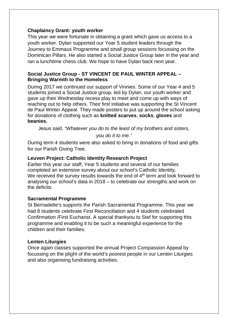#### **Chaplaincy Grant: youth worker**

This year we were fortunate in obtaining a grant which gave us access to a youth worker. Dylan supported our Year 5 student leaders through the Journey to Emmaus Programme and small group sessions focussing on the Dominican Pillars. He also started a Social Justice Group later in the year and ran a lunchtime chess club. We hope to have Dylan back next year.

#### **Social Justice Group - ST VINCENT DE PAUL WINTER APPEAL – Bringing Warmth to the Homeless**

During 2017 we continued our support of Vinnies. Some of our Year 4 and 5 students joined a Social Justice group, led by Dylan, our youth worker and gave up their Wednesday recess play to meet and come up with ways of reaching out to help others. Their first initiative was supporting the St Vincent de Paul Winter Appeal. They made posters to put up around the school asking for donations of clothing such as **knitted scarves**, **socks**, **gloves** and **beanies.**

Jesus said, *"Whatever you do to the least of my brothers and sisters,*

*you do it to me."*

During term 4 students were also asked to bring in donations of food and gifts for our Parish Giving Tree.

### **Leuven Project: Catholic Identity Research Project**

Earlier this year our staff, Year 5 students and several of our families completed an extensive survey about our school's Catholic Identity*.* We received the survey results towards the end of  $4<sup>th</sup>$  term and look forward to analysing our school's data in 2018 – to celebrate our strengths and work on the deficits.

### **Sacramental Programme**

St Bernadette's supports the Parish Sacramental Programme. This year we had 8 students celebrate First Reconciliation and 4 students celebrated Confirmation /First Eucharist. A special thankyou to Stef for supporting this programme and enabling it to be such a meaningful experience for the children and their families.

# **Lenten Liturgies**

Once again classes supported the annual Project Compassion Appeal by focussing on the plight of the world's poorest people in our Lenten Liturgies and also organising fundraising activities.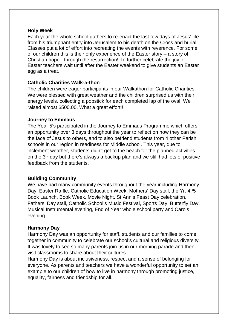#### **Holy Week**

Each year the whole school gathers to re-enact the last few days of Jesus' life from his triumphant entry into Jerusalem to his death on the Cross and burial. Classes put a lot of effort into recreating the events with reverence. For some of our children this is their only experience of the Easter story – a story of Christian hope - through the resurrection! To further celebrate the joy of Easter teachers wait until after the Easter weekend to give students an Easter egg as a treat.

# **Catholic Charities Walk-a-thon**

The children were eager participants in our Walkathon for Catholic Charities. We were blessed with great weather and the children surprised us with their energy levels, collecting a popstick for each completed lap of the oval. We raised almost \$500.00. What a great effort!!!

### **Journey to Emmaus**

The Year 5's participated in the Journey to Emmaus Programme which offers an opportunity over 3 days throughout the year to reflect on how they can be the face of Jesus to others, and to also befriend students from 4 other Parish schools in our region in readiness for Middle school. This year, due to inclement weather, students didn't get to the beach for the planned activities on the 3rd day but there's always a backup plan and we still had lots of positive feedback from the students.

### **Building Community**

We have had many community events throughout the year including Harmony Day, Easter Raffle, Catholic Education Week, Mothers' Day stall, the Yr. 4 /5 Book Launch, Book Week, Movie Night, St Ann's Feast Day celebration, Fathers' Day stall, Catholic School's Music Festival, Sports Day, Butterfly Day, Musical Instrumental evening, End of Year whole school party and Carols evening.

### **Harmony Day**

Harmony Day was an opportunity for staff, students and our families to come together in community to celebrate our school's cultural and religious diversity. It was lovely to see so many parents join us in our morning parade and then visit classrooms to share about their cultures.

Harmony Day is about inclusiveness, respect and a sense of belonging for everyone. As parents and teachers we have a wonderful opportunity to set an example to our children of how to live in harmony through promoting justice, equality, fairness and friendship for all.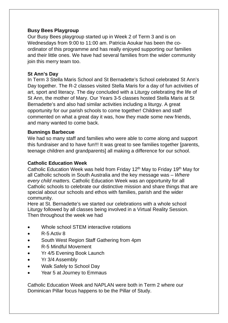# **Busy Bees Playgroup**

Our Busy Bees playgroup started up in Week 2 of Term 3 and is on Wednesdays from 9:00 to 11:00 am. Patricia Aoukar has been the coordinator of this programme and has really enjoyed supporting our families and their little ones. We have had several families from the wider community join this merry team too.

# **St Ann's Day**

In Term 3 Stella Maris School and St Bernadette's School celebrated St Ann's Day together. The R-2 classes visited Stella Maris for a day of fun activities of art, sport and literacy. The day concluded with a Liturgy celebrating the life of St Ann, the mother of Mary. Our Years 3-5 classes hosted Stella Maris at St Bernadette's and also had similar activities including a liturgy. A great opportunity for our parish schools to come together! Children and staff commented on what a great day it was, how they made some new friends, and many wanted to come back.

### **Bunnings Barbecue**

We had so many staff and families who were able to come along and support this fundraiser and to have fun!!! It was great to see families together [parents, teenage children and grandparents] all making a difference for our school.

# **Catholic Education Week**

Catholic Education Week was held from Friday 12<sup>th</sup> May to Friday 19<sup>th</sup> May for all Catholic schools in South Australia and the key message was – *Where every child matters.* Catholic Education Week was an opportunity for all Catholic schools to celebrate our distinctive mission and share things that are special about our schools and ethos with families, parish and the wider community.

Here at St. Bernadette's we started our celebrations with a whole school Liturgy followed by all classes being involved in a Virtual Reality Session. Then throughout the week we had

- Whole school STEM interactive rotations
- R-5 Activ 8
- South West Region Staff Gathering from 4pm
- R-5 Mindful Movement
- Yr 4/5 Evening Book Launch
- Yr 3/4 Assembly
- Walk Safely to School Day
- Year 5 at Journey to Emmaus

Catholic Education Week and NAPLAN were both in Term 2 where our Dominican Pillar focus happens to be the Pillar of Study.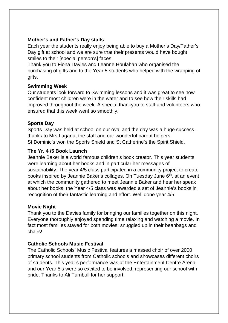# **Mother's and Father's Day stalls**

Each year the students really enjoy being able to buy a Mother's Day/Father's Day gift at school and we are sure that their presents would have bought smiles to their [special person's] faces!

Thank you to Fiona Davies and Leanne Houlahan who organised the purchasing of gifts and to the Year 5 students who helped with the wrapping of gifts.

### **Swimming Week**

Our students look forward to Swimming lessons and it was great to see how confident most children were in the water and to see how their skills had improved throughout the week. A special thankyou to staff and volunteers who ensured that this week went so smoothly.

# **Sports Day**

Sports Day was held at school on our oval and the day was a huge success thanks to Mrs Lagana, the staff and our wonderful parent helpers. St Dominic's won the Sports Shield and St Catherine's the Spirit Shield.

# **The Yr. 4 /5 Book Launch**

Jeannie Baker is a world famous children's book creator. This year students were learning about her books and in particular her messages of sustainability. The year 4/5 class participated in a community project to create books inspired by Jeannie Baker's collages. On Tuesday June 6<sup>th</sup>, at an event at which the community gathered to meet Jeannie Baker and hear her speak about her books, the Year 4/5 class was awarded a set of Jeannie's books in recognition of their fantastic learning and effort. Well done year 4/5!

# **Movie Night**

Thank you to the Davies family for bringing our families together on this night. Everyone thoroughly enjoyed spending time relaxing and watching a movie. In fact most families stayed for both movies, snuggled up in their beanbags and chairs!

# **Catholic Schools Music Festival**

The Catholic Schools' Music Festival features a massed choir of over 2000 primary school students from Catholic schools and showcases different choirs of students. This year's performance was at the Entertainment Centre Arena and our Year 5's were so excited to be involved, representing our school with pride. Thanks to Ali Turnbull for her support.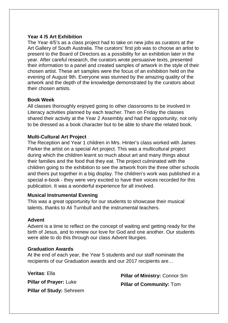#### **Year 4 /5 Art Exhibition**

The Year 4/5's as a class project had to take on new jobs as curators at the Art Gallery of South Australia. The curators' first job was to choose an artist to present to the Board of Directors as a possibility for an exhibition later in the year. After careful research, the curators wrote persuasive texts, presented their information to a panel and created samples of artwork in the style of their chosen artist. These art samples were the focus of an exhibition held on the evening of August 9th. Everyone was stunned by the amazing quality of the artwork and the depth of the knowledge demonstrated by the curators about their chosen artists.

#### **Book Week**

All classes thoroughly enjoyed going to other classrooms to be involved in Literacy activities planned by each teacher. Then on Friday the classes shared their activity at the Year 2 Assembly and had the opportunity, not only to be dressed as a book character but to be able to share the related book.

#### **Multi-Cultural Art Project**

The Reception and Year 1 children in Mrs. Hinter's class worked with James Parker the artist on a special Art project. This was a multicultural project during which the children learnt so much about art and many things about their families and the food that they eat. The project culminated with the children going to the exhibition to see the artwork from the three other schools and theirs put together in a big display. The children's work was published in a special e-book - they were very excited to have their voices recorded for this publication. It was a wonderful experience for all involved.

#### **Musical Instrumental Evening**

This was a great opportunity for our students to showcase their musical talents, thanks to Ali Turnbull and the instrumental teachers.

#### **Advent**

Advent is a time to reflect on the concept of waiting and getting ready for the birth of Jesus, and to renew our love for God and one another. Our students were able to do this through our class Advent liturgies.

#### **Graduation Awards**

At the end of each year, the Year 5 students and our staff nominate the recipients of our Graduation awards and our 2017 recipients are…

**Veritas**: Ella **Pillar of Prayer:** Luke **Pillar of Study:** Sehreem

**Pillar of Ministry:** Connor Sm **Pillar of Community:** Tom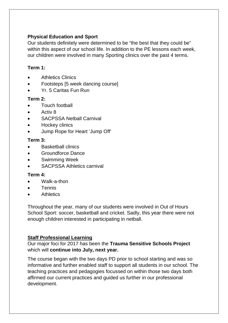# **Physical Education and Sport**

Our students definitely were determined to be "the best that they could be" within this aspect of our school life. In addition to the PE lessons each week, our children were involved in many Sporting clinics over the past 4 terms.

# **Term 1:**

- **Athletics Clinics**
- Footsteps [5 week dancing course]
- Yr. 5 Caritas Fun Run

# **Term 2:**

- Touch football
- Activ 8
- SACPSSA Netball Carnival
- Hockey clinics
- Jump Rope for Heart 'Jump Off'

# **Term 3:**

- Basketball clinics
- Groundforce Dance
- Swimming Week
- SACPSSA Athletics carnival

### **Term 4:**

- Walk-a-thon
- Tennis
- **Athletics**

Throughout the year, many of our students were involved in Out of Hours School Sport: soccer, basketball and cricket. Sadly, this year there were not enough children interested in participating in netball.

# **Staff Professional Learning**

Our major foci for 2017 has been the **Trauma Sensitive Schools Project**  which will **continue into July, next year.**

The course began with the two days PD prior to school starting and was so informative and further enabled staff to support all students in our school. The teaching practices and pedagogies focussed on within those two days both affirmed our current practices and guided us further in our professional development.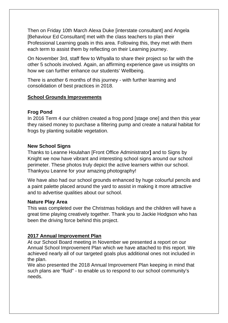Then on Friday 10th March Alexa Duke [interstate consultant] and Angela [Behaviour Ed Consultant] met with the class teachers to plan their Professional Learning goals in this area. Following this, they met with them each term to assist them by reflecting on their Learning journey.

On November 3rd, staff flew to Whyalla to share their project so far with the other 5 schools involved. Again, an affirming experience gave us insights on how we can further enhance our students' Wellbeing.

There is another 6 months of this journey - with further learning and consolidation of best practices in 2018.

### **School Grounds Improvements**

### **Frog Pond**

In 2016 Term 4 our children created a frog pond [stage one] and then this year they raised money to purchase a filtering pump and create a natural habitat for frogs by planting suitable vegetation.

#### **New School Signs**

Thanks to Leanne Houlahan [Front Office Administrator**]** and to Signs by Knight we now have vibrant and interesting school signs around our school perimeter. These photos truly depict the active learners within our school. Thankyou Leanne for your amazing photography!

We have also had our school grounds enhanced by huge colourful pencils and a paint palette placed around the yard to assist in making it more attractive and to advertise qualities about our school.

#### **Nature Play Area**

This was completed over the Christmas holidays and the children will have a great time playing creatively together. Thank you to Jackie Hodgson who has been the driving force behind this project.

### **2017 Annual Improvement Plan**

At our School Board meeting in November we presented a report on our Annual School Improvement Plan which we have attached to this report. We achieved nearly all of our targeted goals plus additional ones not included in the plan.

We also presented the 2018 Annual Improvement Plan keeping in mind that such plans are "fluid" - to enable us to respond to our school community's needs.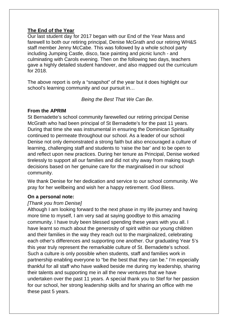### **The End of the Year**

Our last student day for 2017 began with our End of the Year Mass and farewell to both our retiring principal, Denise McGrath and our retiring WH&S staff member Jenny McCabe. This was followed by a whole school party including Jumping Castle, disco, face painting and picnic lunch - and culminating with Carols evening. Then on the following two days, teachers gave a highly detailed student handover, and also mapped out the curriculum for 2018.

The above report is only a "snapshot" of the year but it does highlight our school's learning community and our pursuit in…

*Being the Best That We Can Be*.

# **From the APRIM**

St Bernadette's school community farewelled our retiring principal Denise McGrath who had been principal of St Bernadette's for the past 11 years. During that time she was instrumental in ensuring the Dominican Spirituality continued to permeate throughout our school. As a leader of our school Denise not only demonstrated a strong faith but also encouraged a culture of learning, challenging staff and students to 'raise the bar' and to be open to and reflect upon new practices. During her tenure as Principal, Denise worked tirelessly to support all our families and did not shy away from making tough decisions based on her genuine care for the marginalised in our school community.

We thank Denise for her dedication and service to our school community. We pray for her wellbeing and wish her a happy retirement. God Bless.

# **On a personal note:**

### *[Thank you from Denise]*

Although I am looking forward to the next phase in my life journey and having more time to myself, I am very sad at saying goodbye to this amazing community. I have truly been blessed spending these years with you all. I have learnt so much about the generosity of spirit within our young children and their families in the way they reach out to the marginalized, celebrating each other's differences and supporting one another. Our graduating Year 5's this year truly represent the remarkable culture of St. Bernadette's school. Such a culture is only possible when students, staff and families work in partnership enabling everyone to "be the best that they can be." I'm especially thankful for all staff who have walked beside me during my leadership, sharing their talents and supporting me in all the new ventures that we have undertaken over the past 11 years. A special thank you to Stef for her passion for our school, her strong leadership skills and for sharing an office with me these past 5 years.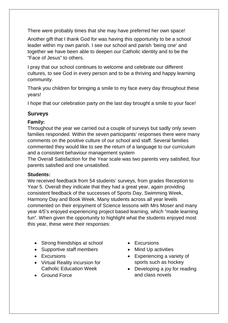There were probably times that she may have preferred her own space!

Another gift that I thank God for was having this opportunity to be a school leader within my own parish. I see our school and parish 'being one' and together we have been able to deepen our Catholic identity and to be the "Face of Jesus" to others.

I pray that our school continues to welcome and celebrate our different cultures, to see God in every person and to be a thriving and happy learning community.

Thank you children for bringing a smile to my face every day throughout these years!

I hope that our celebration party on the last day brought a smile to your face!

# **Surveys**

# **Family:**

Throughout the year we carried out a couple of surveys but sadly only seven families responded. Within the seven participants' responses there were many comments on the positive culture of our school and staff. Several families commented they would like to see the return of a language to our curriculum and a consistent behaviour management system

The Overall Satisfaction for the Year scale was two parents very satisfied, four parents satisfied and one unsatisfied.

### **Students:**

We received feedback from 54 students' surveys, from grades Reception to Year 5. Overall they indicate that they had a great year, again providing consistent feedback of the successes of Sports Day, Swimming Week, Harmony Day and Book Week. Many students across all year levels commented on their enjoyment of Science lessons with Mrs Moser and many year 4/5's enjoyed experiencing project based learning, which "made learning fun". When given the opportunity to highlight what the students enjoyed most this year, these were their responses:

- Strong friendships at school
- Supportive staff members
- Excursions
- Virtual Reality incursion for Catholic Education Week
- Ground Force
- Excursions
- Mind Up activities
- Experiencing a variety of sports such as hockey
- Developing a joy for reading and class novels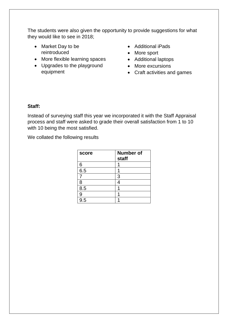The students were also given the opportunity to provide suggestions for what they would like to see in 2018;

- Market Day to be reintroduced
- More flexible learning spaces
- Upgrades to the playground equipment
- Additional iPads
- More sport
- Additional laptops
- More excursions
- Craft activities and games

#### **Staff:**

Instead of surveying staff this year we incorporated it with the Staff Appraisal process and staff were asked to grade their overall satisfaction from 1 to 10 with 10 being the most satisfied.

We collated the following results

| score | <b>Number of</b><br>staff |
|-------|---------------------------|
| 6     |                           |
| 6.5   |                           |
| 7     | 3                         |
| 8     | 4                         |
| 8.5   |                           |
| 9     |                           |
| 9.5   |                           |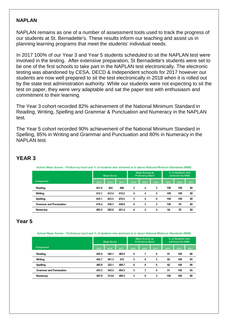#### **NAPLAN**

NAPLAN remains as one of a number of assessment tools used to track the progress of our students at St. Bernadette's. These results inform our teaching and assist us in planning learning programs that meet the students' individual needs.

In 2017 100% of our Year 3 and Year 5 students scheduled to sit the NAPLAN test were involved in the testing. After extensive preparation, St Bernadette's students were set to be one of the first schools to take part in the NAPLAN test electronically. The electronic testing was abandoned by CESA, DECD & Independent schools for 2017 however our students are now well prepared to sit the test electronically in 2018 when it is rolled out by the state test administration authority. While our students were not expecting to sit the test on paper, they were very adaptable and sat the paper test with enthusiasm and commitment to their learning.

The Year 3 cohort recorded 82% achievement of the National Minimum Standard in Reading, Writing, Spelling and Grammar & Punctuation and Numeracy in the NAPLAN test.

The Year 5 cohort recorded 90% achievement of the National Minimum Standard in Spelling, 85% in Writing and Grammar and Punctuation and 80% in Numeracy in the NAPLAN test.

# **YEAR 3**

|                                | <b>Mean Score</b> |       | Mean Scores as<br><b>Proficiency Band</b> |      |      | % of Students who<br>achieved the NMS |      |      |      |
|--------------------------------|-------------------|-------|-------------------------------------------|------|------|---------------------------------------|------|------|------|
| Component                      | 2015              | 2016  | 2017                                      | 2015 | 2016 | 2017                                  | 2015 | 2016 | 2017 |
| Reading                        | 451.6             | 424   | 466                                       | 5    | 4    | 5                                     | 100  | 100  | 82   |
| Writing                        | 412.1             | 412.4 | 416.2                                     | 4    | 4    | 4                                     | 100  | 100  | 82   |
| Spelling                       | 455.1             | 425.3 | 478.3                                     | 5    | 4    | 6                                     | 100  | 100  | 82   |
| <b>Grammar and Punctuation</b> | 419.4             | 436.5 | 438.8                                     | 4    | 5    | 5                                     | 100  | 95   | 82   |
| Numeracy                       | 403.2             | 383.6 | 421.4                                     | 4    | 4    | 4                                     | 94   | 95   | 82   |

School Mean Scores - Proficiency band and % of students who schieved at or shows National Mirimum Standards (NMS)

# **Year 5**

School Mean Scores - Proficiency band and % of students who achieved at or above National Minimum Standards (NMS)

|                                | <b>Mean Score</b> |       |       | Mean Scores as<br><b>Proficiency Band</b> |      |      | % of Students who<br>achieved the NMS |      |      |
|--------------------------------|-------------------|-------|-------|-------------------------------------------|------|------|---------------------------------------|------|------|
| Component                      | 2015              | 2016  | 2017  | 2015                                      | 2016 | 2017 | 2015                                  | 2016 | 2017 |
| Reading                        | 493.6             | 545.1 | 485.9 | 6                                         | 7    | 6    | 91                                    | 100  | 80   |
| Writing                        | 443.7             | 491.5 | 472   | 5                                         | 6    | 5    | 82                                    | 100  | 85   |
| Spelling                       | 485.9             | 522.1 | 499.7 | 6                                         | 6    | 6    | 82                                    | 100  | 90   |
| <b>Grammar and Punctuation</b> | 453.5             | 545.3 | 494.3 | 5                                         |      | 6    | 91                                    | 100  | 85   |
| Numeracy                       | 467.9             | 512.8 | 469.5 | 5                                         | 6    | 5    | 100                                   | 100  | 80   |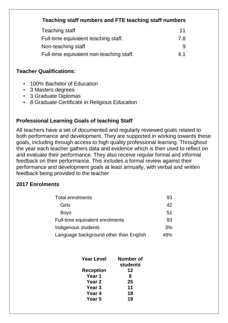# **Teaching staff numbers and FTE teaching staff numbers**

| Teaching staff                           | 11  |
|------------------------------------------|-----|
| Full-time equivalent teaching staff.     | 7.8 |
| Non-teaching staff                       |     |
| Full-time equivalent non-teaching staff. | 4.1 |

# **Teacher Qualifications:**

- 100% Bachelor of Education
- 3 Masters degrees
- 3 Graduate Diplomas
- 8 Graduate Certificate in Religious Education

# **Professional Learning Goals of teaching Staff**

All teachers have a set of documented and regularly reviewed goals related to both performance and development. They are supported in working towards these goals, including through access to high quality professional learning. Throughout the year each teacher gathers data and evidence which is then used to reflect on and evaluate their performance. They also receive regular formal and informal feedback on their performance. This includes a formal review against their performance and development goals at least annually, with verbal and written feedback being provided to the teacher

# **2017 Enrolments**

| <b>Total enrolments</b>                | 93  |
|----------------------------------------|-----|
| Girls                                  | 42  |
| <b>Boys</b>                            | 51  |
| Full-time equivalent enrolments        | 93  |
| Indigenous students                    | 3%  |
| Language background other than English | 48% |

| <b>Year Level</b> | <b>Number of</b><br><b>students</b> |
|-------------------|-------------------------------------|
| <b>Reception</b>  | 12                                  |
| Year 1            | 8                                   |
| Year <sub>2</sub> | 25                                  |
| Year <sub>3</sub> | 11                                  |
| Year 4            | 18                                  |
| Year 5            | 19                                  |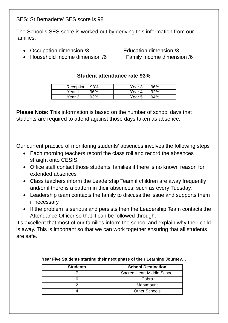# SES: St Bernadette' SES score is 98

The School's SES score is worked out by deriving this information from our families:

- Occupation dimension /3 Education dimension /3
- Household Income dimension /6 Family Income dimension /6

# **Student attendance rate 93%**

| Reception 93% |     | Year 3 | 96% |
|---------------|-----|--------|-----|
| Year 1        | 96% | Year 4 | 92% |
| Year 2        | 93% | Year 5 | 94% |

**Please Note:** This information is based on the number of school days that students are required to attend against those days taken as absence.

Our current practice of monitoring students' absences involves the following steps

- Each morning teachers record the class roll and record the absences straight onto CESIS.
- Office staff contact those students' families if there is no known reason for extended absences
- Class teachers inform the Leadership Team if children are away frequently and/or if there is a pattern in their absences, such as every Tuesday.
- Leadership team contacts the family to discuss the issue and supports them if necessary.
- If the problem is serious and persists then the Leadership Team contacts the Attendance Officer so that it can be followed through.

It's excellent that most of our families inform the school and explain why their child is away. This is important so that we can work together ensuring that all students are safe.

| <b>Students</b> | <b>School Destination</b>  |
|-----------------|----------------------------|
|                 | Sacred Heart Middle School |
|                 | Cabra                      |
|                 | Marymount                  |
|                 | <b>Other Schools</b>       |

**Year Five Students starting their next phase of their Learning Journey…**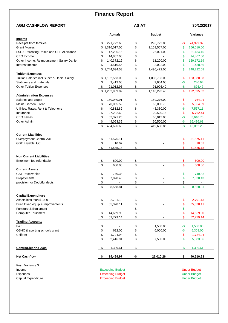# **Finance Report**

#### **AGM CASHFLOW REPORT 45 AT:** 45 AT: 30/12/2017

|                                             |          | <b>Actuals</b> |     | <b>Budget</b>  |               | Variance   |
|---------------------------------------------|----------|----------------|-----|----------------|---------------|------------|
| <b>Income</b>                               |          |                |     |                |               |            |
| Receipts from families                      | \$       | 221,722.68     | \$  | 296,722.00     | -\$           | 74,999.32  |
| <b>Grant Monies</b>                         | \$       | 1,316,017.00   | \$  | 1,159,507.00   | \$            | 156,510.00 |
| LSL & Parenting Reimb and CPF Allowance     | \$       | 47,205.15      | \$  | 26,021.00      | \$            | 21,184.15  |
| CEO Income                                  | \$       | 14,867.00      | \$  |                | \$            | 14,867.00  |
| Other Income, Reimbursement Salary Daniel   | \$       | 140,372.19     | \$  | 11,200.00      | \$            | 129,172.19 |
| Interest Income                             | \$       | 4,510.56       | \$  | 3,022.00       | \$            | 1,488.56   |
|                                             |          | \$1,744,694.58 | \$  | 1,496,472.00   | $\mathbf{\$}$ | 248,222.58 |
| <b>Tuition Expenses</b>                     |          |                |     |                |               |            |
| Tuition Salaries incl Super & Daniel Salary | \$       | 1,132,563.03   | \$  | 1,008,733.00   | \$            | 123,830.03 |
| Stationery and materials                    | \$       | 9,413.06       | \$  | 9,654.00       | -\$           | 240.94     |
| <b>Other Tuition Expenses</b>               | \$       | 91,012.93      | \$  | 91,906.40      | -\$           | 893.47     |
|                                             |          | \$1,232,989.02 | \$  | 1,110,293.40   | \$            | 122,695.62 |
| <b>Administration Expenses</b>              |          |                |     |                |               |            |
| Salaries and Super                          | \$       | 160,040.91     | \$  | 159,276.00     | \$            | 764.91     |
| Maint, Garden, Clean                        | \$       | 70,055.59      | \$  | 65,000.70      | \$            | 5,054.89   |
| Utilities, Rates, Rent & Telephone          | \$       | 40,812.89      | \$  | 48,380.00      | $-\$$         | 7,567.11   |
| Insurance                                   | \$       | 27,282.60      | \$  | 20,520.16      | \$            | 6,762.44   |
| <b>CEO Levies</b>                           | \$       |                | \$  | 66,012.00      | $-$ \$        | 3,640.75   |
|                                             |          | 62,371.25      |     |                |               |            |
| Other Admin                                 | \$<br>\$ | 44,063.39      | \$  | 60,500.00      | -\$           | 16,436.61  |
|                                             |          | 404,626.63     | \$  | 419,688.86     | $-5$          | 15,062.23  |
|                                             |          |                |     |                |               |            |
| <b>Current Liabilities</b>                  |          |                |     |                |               |            |
| Overpayment Control A/c                     | \$       | 51,575.11      |     |                | \$            | 51,575.11  |
| GST Payable A/C                             | \$       | 10.07          | \$  |                | \$            | 10.07      |
|                                             | \$       | 51,585.18      | \$  |                | \$            | 51,585.18  |
|                                             |          |                |     |                |               |            |
| <b>Non Current Liabilities</b>              |          |                |     |                |               |            |
| Enrolment fee refundable                    | \$       | 600.00         | \$  |                | \$            | 600.00     |
|                                             | \$       | 600.00         | \$  | $\blacksquare$ | \$            | 600.00     |
| <b>Current Assets</b>                       |          |                |     |                |               |            |
| <b>GST Receivables</b>                      | \$       | 740.38         | \$  |                | \$            | 740.38     |
| Prepayments                                 | \$       | 7,828.43       | \$  |                | \$            | 7,828.43   |
| provision for Doubtful debts                | \$       |                | \$  |                | \$            |            |
|                                             | \$       | 8,568.81       | \$  | $\sim$         | \$            | 8,568.81   |
|                                             |          |                |     |                |               |            |
| <b>Capital Expenditure</b>                  |          |                |     |                |               |            |
| Assets less than \$1000                     | \$       | 2,791.13       | \$. |                | \$.           | 2,791.13   |
| Build Fixed equip & Improvements            | \$       | 35,328.11      | \$  |                | \$            | 35,328.11  |
| Furniture & Equipment                       |          |                | \$  |                | \$            |            |
| <b>Computer Equipment</b>                   | \$       | 14,659.90      | \$  |                | \$            | 14,659.90  |
|                                             | \$       | 52,779.14      | \$  |                | \$            | 52,779.14  |
| <b>Trading Accounts</b>                     |          |                |     |                |               |            |
| P&F                                         | \$       |                | \$  | 1,500.00       | -\$           | 1,500.00   |
| OSHC & sporting schools grant               | \$       | 692.00         | \$  | 6,000.00       | -\$           | 5,308.00   |
| Uniform                                     | \$       | 1,724.94       | \$  |                | \$            | 1,724.94   |
|                                             | \$       | 2,416.94       | \$  | 7,500.00       | \$            | 5,083.06   |
|                                             |          |                |     |                |               |            |
| <b>Contra/Clearing A/cs</b>                 |          |                |     |                |               | 1,399.61   |
|                                             | \$       | 1,399.61       | \$  |                | $-5$          |            |
|                                             |          |                |     |                |               |            |
| <b>Net Cashflow</b>                         | \$       | 14,499.97      | -\$ | 26,010.26      | \$            | 40,510.23  |
| Key: Variance \$                            |          |                |     |                |               |            |

Income **Exceeding Budget** Exceeding Budget **Exceeding Budget** Under Budget Expenses Exceeding Budget Exceeding Budget Changes and The Under Budget Exceeding Budget Capital Expenditure **Exceeding Budget** Exceeding Budget **Exceeding Budget** Under Budget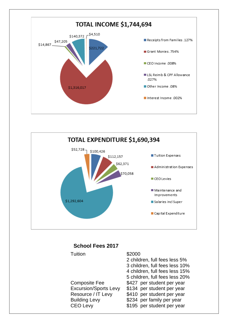



# **School Fees 2017**

| Tuition                      | \$2000<br>2 children, full fees less 5%<br>3 children, full fees less 10%<br>4 children, full fees less 15%<br>5 children, full fees less 20% |
|------------------------------|-----------------------------------------------------------------------------------------------------------------------------------------------|
| <b>Composite Fee</b>         | \$427 per student per year                                                                                                                    |
| <b>Excursion/Sports Levy</b> | \$134 per student per year                                                                                                                    |
| Resource / IT Levy           | \$410 per student per year                                                                                                                    |
| <b>Building Levy</b>         | \$234 per family per year                                                                                                                     |
| <b>CEO Levy</b>              | \$195 per student per year                                                                                                                    |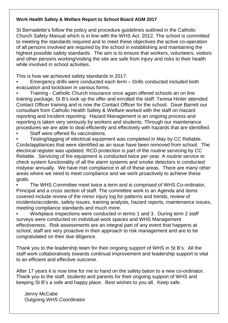#### **Work Health Safety & Welfare Report to School Board AGM 2017**

St Bernadette's follow the policy and procedure guidelines outlined in the Catholic Church Safety Manual which is in line with the WHS Act. 2012. The school is committed to meeting the standards required and to meet these objectives the active co-operation of all persons involved are required by the school in establishing and maintaining the highest possible safety standards. The aim is to ensure that workers, volunteers, visitors and other persons working/visiting the site are safe from injury and risks to their health while involved in school activities.

This is how we achieved safety standards in 2017:

• Emergency drills were conducted each term – Drills conducted included both evacuation and lockdown in various forms.

• Training - Catholic Church Insurance once again offered schools an on line training package, St B's took up the offer and enrolled the staff. Teresa Hinter attended Contact Officer training and is now the Contact Officer for the school. Dave Barrett our consultant from Catholic Health Safety & Welfare worked with the staff on Hazard reporting and Incident reporting. Hazard Management is an ongoing process and reporting is taken very seriously by workers and students. Through our maintenance procedures we are able to deal efficiently and effectively with hazards that are identified.

Staff were offered flu vaccinations.

• Testing/tagging of electrical equipment was completed in May by CC Reliable. Cords/appliances that were identified as an issue have been removed from school. The electrical register was updated. RCD protection is part of the routine servicing by CC Reliable. Servicing of fire equipment is conducted twice per year. A routine service to check system functionality of all the alarm systems and smoke detectors is conducted midyear annually. We have met compliance in all of these areas. There are many other areas where we need to meet compliance and we work proactively to achieve these goals.

• The WHS Committee meet twice a term and is comprised of WHS Co-ordinator, Principal and a cross section of staff. The committee work to an Agenda and items covered include review of the minor injury log for patterns and trends, review of incidents/accidents, safety issues, training analysis, hazard reports, maintenance issues, meeting compliance standards and much more.

• Workplace inspections were conducted in terms 1 and 3. During term 2 staff surveys were conducted on individual work spaces and WHS Management effectiveness. Risk assessments are an integral part of any event that happens at school, staff are very proactive in their approach to risk management and are to be congratulated on their due diligence.

Thank you to the leadership team for their ongoing support of WHS in St B's. All the staff work collaboratively towards continual improvement and leadership support is vital to an efficient and effective outcome.

After 17 years it is now time for me to hand on the safety baton to a new co-ordinator. Thank you to the staff, students and parents for their ongoing support of WHS and keeping St B's a safe and happy place. Best wishes to you all. Keep safe.

 Jenny McCabe Outgoing WHS Coordinator